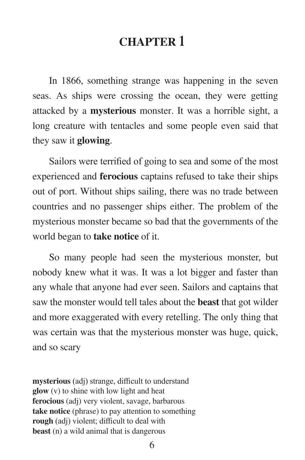### **CHAPTER 1**

 In 1866, something strange was happening in the seven seas. As ships were crossing the ocean, they were getting attacked by a **mysterious** monster. It was a horrible sight, a long creature with tentacles and some people even said that they saw it **glowing**.

 Sailors were terrified of going to sea and some of the most experienced and **ferocious** captains refused to take their ships out of port. Without ships sailing, there was no trade between countries and no passenger ships either. The problem of the mysterious monster became so bad that the governments of the world began to **take notice** of it.

 So many people had seen the mysterious monster, but nobody knew what it was. It was a lot bigger and faster than any whale that anyone had ever seen. Sailors and captains that saw the monster would tell tales about the **beast** that got wilder and more exaggerated with every retelling. The only thing that was certain was that the mysterious monster was huge, quick, and so scary

**mysterious** (adj) strange, difficult to understand **glow** (v) to shine with low light and heat **ferocious** (adj) very violent, savage, barbarous **take notice** (phrase) to pay attention to something **rough** (adj) violent; difficult to deal with **beast** (n) a wild animal that is dangerous

6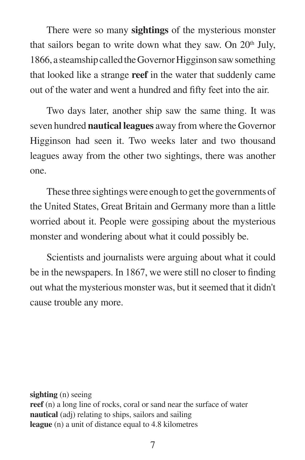There were so many **sightings** of the mysterious monster that sailors began to write down what they saw. On  $20<sup>th</sup>$  July, 1866, a steamship called the Governor Higginson saw something that looked like a strange **reef** in the water that suddenly came out of the water and went a hundred and fifty feet into the air.

 Two days later, another ship saw the same thing. It was seven hundred **nautical leagues** away from where the Governor Higginson had seen it. Two weeks later and two thousand leagues away from the other two sightings, there was another one.

 These three sightings were enough to get the governments of the United States, Great Britain and Germany more than a little worried about it. People were gossiping about the mysterious monster and wondering about what it could possibly be.

 Scientists and journalists were arguing about what it could be in the newspapers. In 1867, we were still no closer to finding out what the mysterious monster was, but it seemed that it didn't cause trouble any more.

**sighting** (n) seeing **reef** (n) a long line of rocks, coral or sand near the surface of water **nautical** (adj) relating to ships, sailors and sailing **league** (n) a unit of distance equal to 4.8 kilometres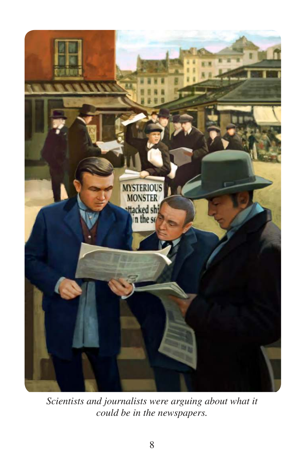

*Scientists and journalists were arguing about what it could be in the newspapers.*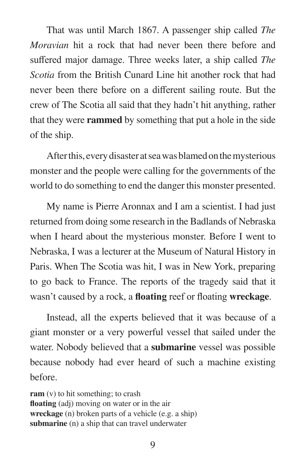That was until March 1867. A passenger ship called *The Moravian* hit a rock that had never been there before and suffered major damage. Three weeks later, a ship called *The Scotia* from the British Cunard Line hit another rock that had never been there before on a different sailing route. But the crew of The Scotia all said that they hadn't hit anything, rather that they were **rammed** by something that put a hole in the side of the ship.

 After this, every disaster at sea was blamed on the mysterious monster and the people were calling for the governments of the world to do something to end the danger this monster presented.

 My name is Pierre Aronnax and I am a scientist. I had just returned from doing some research in the Badlands of Nebraska when I heard about the mysterious monster. Before I went to Nebraska, I was a lecturer at the Museum of Natural History in Paris. When The Scotia was hit, I was in New York, preparing to go back to France. The reports of the tragedy said that it wasn't caused by a rock, a **floating** reef or floating **wreckage**.

 Instead, all the experts believed that it was because of a giant monster or a very powerful vessel that sailed under the water. Nobody believed that a **submarine** vessel was possible because nobody had ever heard of such a machine existing before.

**ram** (v) to hit something; to crash **floating** (adj) moving on water or in the air **wreckage** (n) broken parts of a vehicle (e.g. a ship) **submarine** (n) a ship that can travel underwater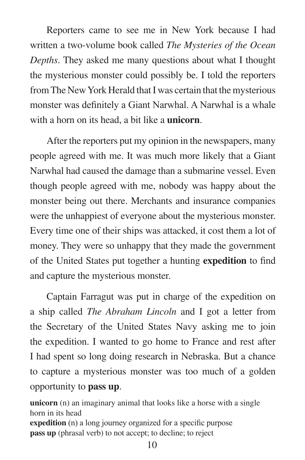Reporters came to see me in New York because I had written a two-volume book called *The Mysteries of the Ocean Depths*. They asked me many questions about what I thought the mysterious monster could possibly be. I told the reporters from The New York Herald that I was certain that the mysterious monster was definitely a Giant Narwhal. A Narwhal is a whale with a horn on its head, a bit like a **unicorn**.

 After the reporters put my opinion in the newspapers, many people agreed with me. It was much more likely that a Giant Narwhal had caused the damage than a submarine vessel. Even though people agreed with me, nobody was happy about the monster being out there. Merchants and insurance companies were the unhappiest of everyone about the mysterious monster. Every time one of their ships was attacked, it cost them a lot of money. They were so unhappy that they made the government of the United States put together a hunting **expedition** to find and capture the mysterious monster.

 Captain Farragut was put in charge of the expedition on a ship called *The Abraham Lincoln* and I got a letter from the Secretary of the United States Navy asking me to join the expedition. I wanted to go home to France and rest after I had spent so long doing research in Nebraska. But a chance to capture a mysterious monster was too much of a golden opportunity to **pass up**.

**unicorn** (n) an imaginary animal that looks like a horse with a single horn in its head **expedition** (n) a long journey organized for a specific purpose **pass up** (phrasal verb) to not accept; to decline; to reject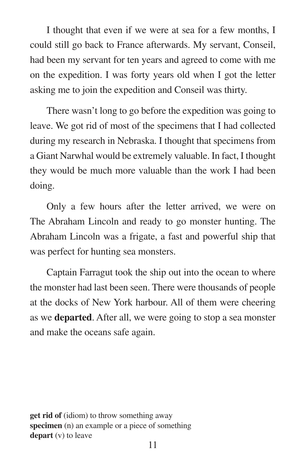I thought that even if we were at sea for a few months, I could still go back to France afterwards. My servant, Conseil, had been my servant for ten years and agreed to come with me on the expedition. I was forty years old when I got the letter asking me to join the expedition and Conseil was thirty.

 There wasn't long to go before the expedition was going to leave. We got rid of most of the specimens that I had collected during my research in Nebraska. I thought that specimens from a Giant Narwhal would be extremely valuable. In fact, I thought they would be much more valuable than the work I had been doing.

 Only a few hours after the letter arrived, we were on The Abraham Lincoln and ready to go monster hunting. The Abraham Lincoln was a frigate, a fast and powerful ship that was perfect for hunting sea monsters.

 Captain Farragut took the ship out into the ocean to where the monster had last been seen. There were thousands of people at the docks of New York harbour. All of them were cheering as we **departed**. After all, we were going to stop a sea monster and make the oceans safe again.

**get rid of** (idiom) to throw something away **specimen** (n) an example or a piece of something **depart** (v) to leave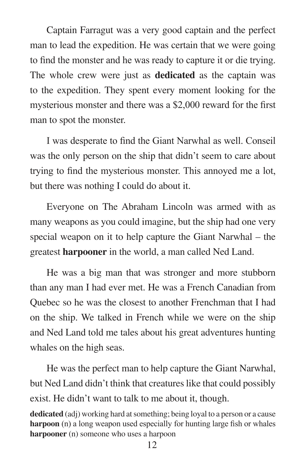Captain Farragut was a very good captain and the perfect man to lead the expedition. He was certain that we were going to find the monster and he was ready to capture it or die trying. The whole crew were just as **dedicated** as the captain was to the expedition. They spent every moment looking for the mysterious monster and there was a \$2,000 reward for the first man to spot the monster.

 I was desperate to find the Giant Narwhal as well. Conseil was the only person on the ship that didn't seem to care about trying to find the mysterious monster. This annoyed me a lot, but there was nothing I could do about it.

 Everyone on The Abraham Lincoln was armed with as many weapons as you could imagine, but the ship had one very special weapon on it to help capture the Giant Narwhal – the greatest **harpooner** in the world, a man called Ned Land.

 He was a big man that was stronger and more stubborn than any man I had ever met. He was a French Canadian from Quebec so he was the closest to another Frenchman that I had on the ship. We talked in French while we were on the ship and Ned Land told me tales about his great adventures hunting whales on the high seas.

 He was the perfect man to help capture the Giant Narwhal, but Ned Land didn't think that creatures like that could possibly exist. He didn't want to talk to me about it, though.

**dedicated** (adj) working hard at something; being loyal to a person or a cause **harpoon** (n) a long weapon used especially for hunting large fish or whales **harpooner** (n) someone who uses a harpoon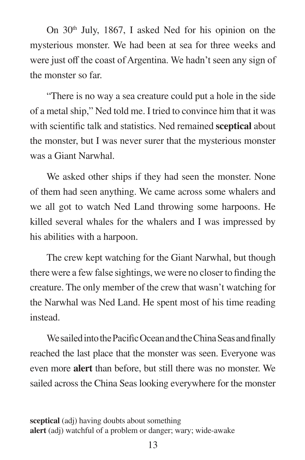On 30<sup>th</sup> July, 1867, I asked Ned for his opinion on the mysterious monster. We had been at sea for three weeks and were just off the coast of Argentina. We hadn't seen any sign of the monster so far.

 "There is no way a sea creature could put a hole in the side of a metal ship," Ned told me. I tried to convince him that it was with scientific talk and statistics. Ned remained **sceptical** about the monster, but I was never surer that the mysterious monster was a Giant Narwhal.

 We asked other ships if they had seen the monster. None of them had seen anything. We came across some whalers and we all got to watch Ned Land throwing some harpoons. He killed several whales for the whalers and I was impressed by his abilities with a harpoon.

 The crew kept watching for the Giant Narwhal, but though there were a few false sightings, we were no closer to finding the creature. The only member of the crew that wasn't watching for the Narwhal was Ned Land. He spent most of his time reading instead.

 We sailed into the Pacific Ocean and the China Seas and finally reached the last place that the monster was seen. Everyone was even more **alert** than before, but still there was no monster. We sailed across the China Seas looking everywhere for the monster

**sceptical** (adj) having doubts about something **alert** (adj) watchful of a problem or danger; wary; wide-awake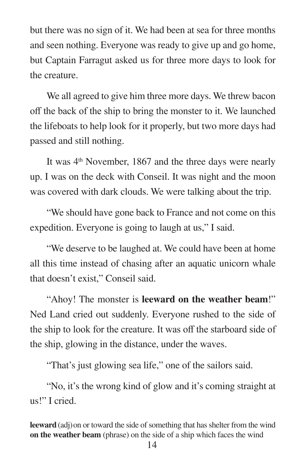but there was no sign of it. We had been at sea for three months and seen nothing. Everyone was ready to give up and go home, but Captain Farragut asked us for three more days to look for the creature.

 We all agreed to give him three more days. We threw bacon off the back of the ship to bring the monster to it. We launched the lifeboats to help look for it properly, but two more days had passed and still nothing.

It was 4<sup>th</sup> November, 1867 and the three days were nearly up. I was on the deck with Conseil. It was night and the moon was covered with dark clouds. We were talking about the trip.

 "We should have gone back to France and not come on this expedition. Everyone is going to laugh at us," I said.

 "We deserve to be laughed at. We could have been at home all this time instead of chasing after an aquatic unicorn whale that doesn't exist," Conseil said.

 "Ahoy! The monster is **leeward on the weather beam**!" Ned Land cried out suddenly. Everyone rushed to the side of the ship to look for the creature. It was off the starboard side of the ship, glowing in the distance, under the waves.

"That's just glowing sea life," one of the sailors said.

 "No, it's the wrong kind of glow and it's coming straight at us!" I cried.

**leeward** (adj) on or toward the side of something that has shelter from the wind **on the weather beam** (phrase) on the side of a ship which faces the wind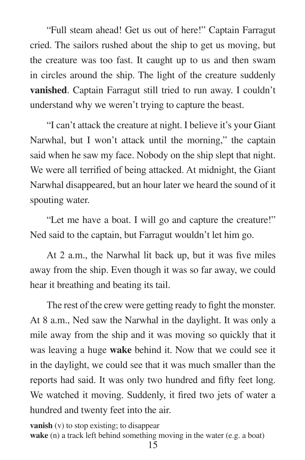"Full steam ahead! Get us out of here!" Captain Farragut cried. The sailors rushed about the ship to get us moving, but the creature was too fast. It caught up to us and then swam in circles around the ship. The light of the creature suddenly **vanished**. Captain Farragut still tried to run away. I couldn't understand why we weren't trying to capture the beast.

 "I can't attack the creature at night. I believe it's your Giant Narwhal, but I won't attack until the morning," the captain said when he saw my face. Nobody on the ship slept that night. We were all terrified of being attacked. At midnight, the Giant Narwhal disappeared, but an hour later we heard the sound of it spouting water.

 "Let me have a boat. I will go and capture the creature!" Ned said to the captain, but Farragut wouldn't let him go.

 At 2 a.m., the Narwhal lit back up, but it was five miles away from the ship. Even though it was so far away, we could hear it breathing and beating its tail.

 The rest of the crew were getting ready to fight the monster. At 8 a.m., Ned saw the Narwhal in the daylight. It was only a mile away from the ship and it was moving so quickly that it was leaving a huge **wake** behind it. Now that we could see it in the daylight, we could see that it was much smaller than the reports had said. It was only two hundred and fifty feet long. We watched it moving. Suddenly, it fired two jets of water a hundred and twenty feet into the air.

**vanish** (v) to stop existing; to disappear **wake** (n) a track left behind something moving in the water (e.g. a boat)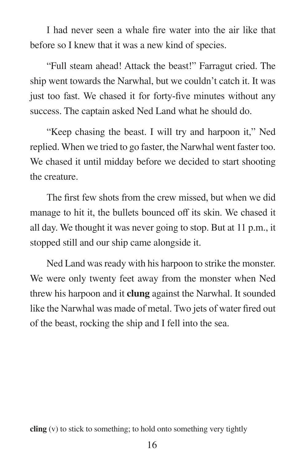I had never seen a whale fire water into the air like that before so I knew that it was a new kind of species.

 "Full steam ahead! Attack the beast!" Farragut cried. The ship went towards the Narwhal, but we couldn't catch it. It was just too fast. We chased it for forty-five minutes without any success. The captain asked Ned Land what he should do.

 "Keep chasing the beast. I will try and harpoon it," Ned replied. When we tried to go faster, the Narwhal went faster too. We chased it until midday before we decided to start shooting the creature.

 The first few shots from the crew missed, but when we did manage to hit it, the bullets bounced off its skin. We chased it all day. We thought it was never going to stop. But at 11 p.m., it stopped still and our ship came alongside it.

 Ned Land was ready with his harpoon to strike the monster. We were only twenty feet away from the monster when Ned threw his harpoon and it **clung** against the Narwhal. It sounded like the Narwhal was made of metal. Two jets of water fired out of the beast, rocking the ship and I fell into the sea.

**cling** (v) to stick to something; to hold onto something very tightly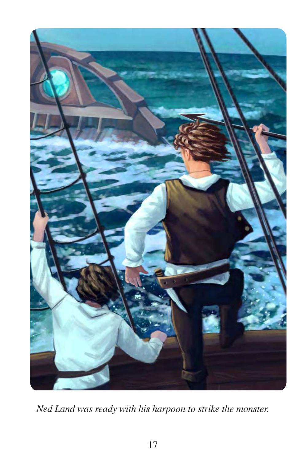

*Ned Land was ready with his harpoon to strike the monster.*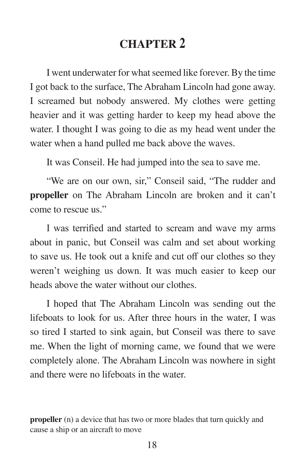## **CHAPTER 2**

 I went underwater for what seemed like forever. By the time I got back to the surface, The Abraham Lincoln had gone away. I screamed but nobody answered. My clothes were getting heavier and it was getting harder to keep my head above the water. I thought I was going to die as my head went under the water when a hand pulled me back above the waves.

It was Conseil. He had jumped into the sea to save me.

 "We are on our own, sir," Conseil said, "The rudder and **propeller** on The Abraham Lincoln are broken and it can't come to rescue us."

 I was terrified and started to scream and wave my arms about in panic, but Conseil was calm and set about working to save us. He took out a knife and cut off our clothes so they weren't weighing us down. It was much easier to keep our heads above the water without our clothes.

 I hoped that The Abraham Lincoln was sending out the lifeboats to look for us. After three hours in the water, I was so tired I started to sink again, but Conseil was there to save me. When the light of morning came, we found that we were completely alone. The Abraham Lincoln was nowhere in sight and there were no lifeboats in the water.

**propeller** (n) a device that has two or more blades that turn quickly and cause a ship or an aircraft to move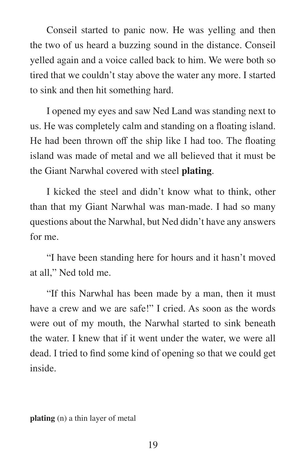Conseil started to panic now. He was yelling and then the two of us heard a buzzing sound in the distance. Conseil yelled again and a voice called back to him. We were both so tired that we couldn't stay above the water any more. I started to sink and then hit something hard.

 I opened my eyes and saw Ned Land was standing next to us. He was completely calm and standing on a floating island. He had been thrown off the ship like I had too. The floating island was made of metal and we all believed that it must be the Giant Narwhal covered with steel **plating**.

 I kicked the steel and didn't know what to think, other than that my Giant Narwhal was man-made. I had so many questions about the Narwhal, but Ned didn't have any answers for me.

 "I have been standing here for hours and it hasn't moved at all," Ned told me.

 "If this Narwhal has been made by a man, then it must have a crew and we are safe!" I cried. As soon as the words were out of my mouth, the Narwhal started to sink beneath the water. I knew that if it went under the water, we were all dead. I tried to find some kind of opening so that we could get inside.

**plating** (n) a thin layer of metal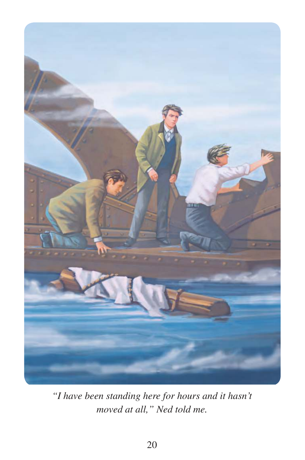

*"I have been standing here for hours and it hasn't moved at all," Ned told me.*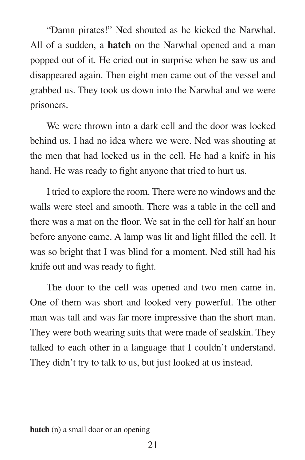"Damn pirates!" Ned shouted as he kicked the Narwhal. All of a sudden, a **hatch** on the Narwhal opened and a man popped out of it. He cried out in surprise when he saw us and disappeared again. Then eight men came out of the vessel and grabbed us. They took us down into the Narwhal and we were prisoners.

We were thrown into a dark cell and the door was locked behind us. I had no idea where we were. Ned was shouting at the men that had locked us in the cell. He had a knife in his hand. He was ready to fight anyone that tried to hurt us.

 I tried to explore the room. There were no windows and the walls were steel and smooth. There was a table in the cell and there was a mat on the floor. We sat in the cell for half an hour before anyone came. A lamp was lit and light filled the cell. It was so bright that I was blind for a moment. Ned still had his knife out and was ready to fight.

 The door to the cell was opened and two men came in. One of them was short and looked very powerful. The other man was tall and was far more impressive than the short man. They were both wearing suits that were made of sealskin. They talked to each other in a language that I couldn't understand. They didn't try to talk to us, but just looked at us instead.

**hatch** (n) a small door or an opening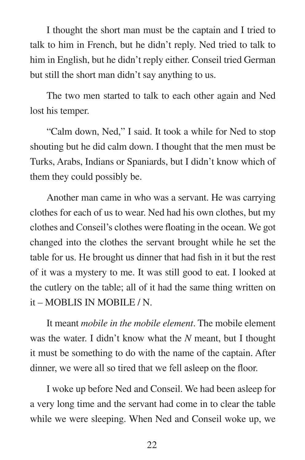I thought the short man must be the captain and I tried to talk to him in French, but he didn't reply. Ned tried to talk to him in English, but he didn't reply either. Conseil tried German but still the short man didn't say anything to us.

 The two men started to talk to each other again and Ned lost his temper.

 "Calm down, Ned," I said. It took a while for Ned to stop shouting but he did calm down. I thought that the men must be Turks, Arabs, Indians or Spaniards, but I didn't know which of them they could possibly be.

 Another man came in who was a servant. He was carrying clothes for each of us to wear. Ned had his own clothes, but my clothes and Conseil's clothes were floating in the ocean. We got changed into the clothes the servant brought while he set the table for us. He brought us dinner that had fish in it but the rest of it was a mystery to me. It was still good to eat. I looked at the cutlery on the table; all of it had the same thing written on it – MOBLIS IN MOBILE / N.

 It meant *mobile in the mobile element*. The mobile element was the water. I didn't know what the *N* meant, but I thought it must be something to do with the name of the captain. After dinner, we were all so tired that we fell asleep on the floor.

 I woke up before Ned and Conseil. We had been asleep for a very long time and the servant had come in to clear the table while we were sleeping. When Ned and Conseil woke up, we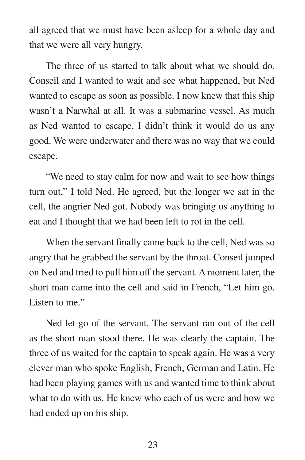all agreed that we must have been asleep for a whole day and that we were all very hungry.

 The three of us started to talk about what we should do. Conseil and I wanted to wait and see what happened, but Ned wanted to escape as soon as possible. I now knew that this ship wasn't a Narwhal at all. It was a submarine vessel. As much as Ned wanted to escape, I didn't think it would do us any good. We were underwater and there was no way that we could escape.

 "We need to stay calm for now and wait to see how things turn out," I told Ned. He agreed, but the longer we sat in the cell, the angrier Ned got. Nobody was bringing us anything to eat and I thought that we had been left to rot in the cell.

 When the servant finally came back to the cell, Ned was so angry that he grabbed the servant by the throat. Conseil jumped on Ned and tried to pull him off the servant. A moment later, the short man came into the cell and said in French, "Let him go. Listen to me."

 Ned let go of the servant. The servant ran out of the cell as the short man stood there. He was clearly the captain. The three of us waited for the captain to speak again. He was a very clever man who spoke English, French, German and Latin. He had been playing games with us and wanted time to think about what to do with us. He knew who each of us were and how we had ended up on his ship.

23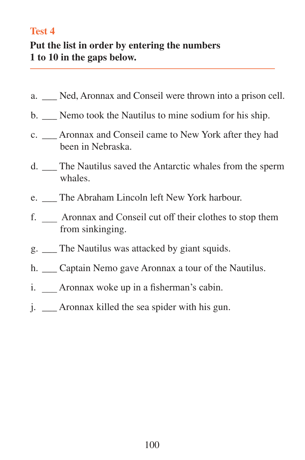#### **Test 4**

#### **Put the list in order by entering the numbers 1 to 10 in the gaps below.**

- a. \_\_\_ Ned, Aronnax and Conseil were thrown into a prison cell.
- b. Nemo took the Nautilus to mine sodium for his ship.
- c. \_\_\_ Aronnax and Conseil came to New York after they had been in Nebraska.
- d. \_\_\_ The Nautilus saved the Antarctic whales from the sperm whales.
- e. The Abraham Lincoln left New York harbour.
- f. \_\_\_ Aronnax and Conseil cut off their clothes to stop them from sinkinging.
- g. \_\_\_ The Nautilus was attacked by giant squids.
- h. Captain Nemo gave Aronnax a tour of the Nautilus.
- i. Aronnax woke up in a fisherman's cabin.
- j. \_\_\_ Aronnax killed the sea spider with his gun.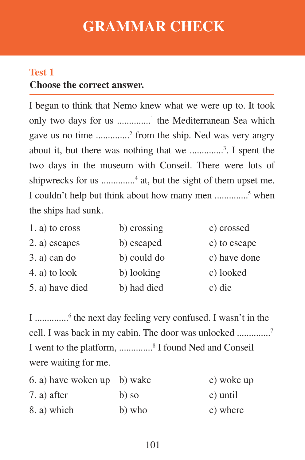## **GRAMMAR CHECK**

## **Choose the correct answer. Test 1**

I began to think that Nemo knew what we were up to. It took only two days for us ...............<sup>1</sup> the Mediterranean Sea which gave us no time ..............<sup>2</sup> from the ship. Ned was very angry about it, but there was nothing that we ..............<sup>3</sup> . I spent the two days in the museum with Conseil. There were lots of shipwrecks for us ..............<sup>4</sup> at, but the sight of them upset me. I couldn't help but think about how many men ...............<sup>5</sup> when the ships had sunk.

| 1. a) to cross  | b) crossing | c) crossed   |
|-----------------|-------------|--------------|
| 2. a) escapes   | b) escaped  | c) to escape |
| $3. a)$ can do  | b) could do | c) have done |
| 4. a) to look   | b) looking  | c) looked    |
| 5. a) have died | b) had died | c) die       |

I ..............<sup>6</sup> the next day feeling very confused. I wasn't in the cell. I was back in my cabin. The door was unlocked ..............<sup>7</sup> I went to the platform, ...............<sup>8</sup> I found Ned and Conseil were waiting for me.

| 6. a) have woken up b) wake |         | c) woke up |
|-----------------------------|---------|------------|
| $7. a)$ after               | $b)$ so | c) until   |
| 8. a) which                 | b) who  | c) where   |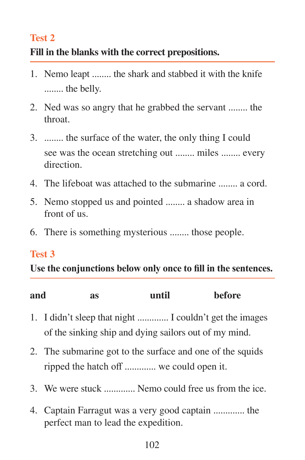#### **Test 2**

#### **Fill in the blanks with the correct prepositions.**

- 1. Nemo leapt ........ the shark and stabbed it with the knife ........ the belly.
- 2. Ned was so angry that he grabbed the servant ........ the throat.
- 3. ........ the surface of the water, the only thing I could see was the ocean stretching out ........ miles ........ every direction.
- 4. The lifeboat was attached to the submarine ........ a cord.
- 5. Nemo stopped us and pointed ........ a shadow area in front of us.
- 6. There is something mysterious ........ those people.

#### **Test 3**

**Use the conjunctions below only once to fill in the sentences.**

| and<br>as | until | <b>before</b> |
|-----------|-------|---------------|
|-----------|-------|---------------|

- 1. I didn't sleep that night ............. I couldn't get the images of the sinking ship and dying sailors out of my mind.
- 2. The submarine got to the surface and one of the squids ripped the hatch off ............. we could open it.
- 3. We were stuck ............. Nemo could free us from the ice.
- 4. Captain Farragut was a very good captain ............. the perfect man to lead the expedition.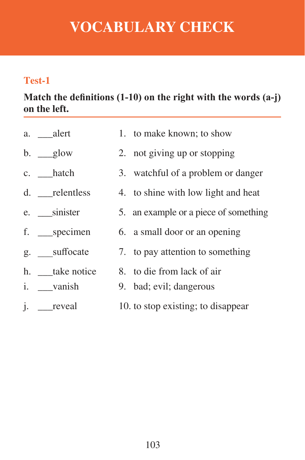# **VOCABULARY CHECK**

#### **Test-1**

**Match the definitions (1-10) on the right with the words (a-j) on the left.**

| a. ___alert       | 1. to make known; to show             |
|-------------------|---------------------------------------|
| $b.$ __glow       | 2. not giving up or stopping          |
| c. hatch          | 3. watchful of a problem or danger    |
| d. relentless     | 4. to shine with low light and heat   |
| e. sinister       | 5. an example or a piece of something |
| f. ___specimen    | 6. a small door or an opening         |
| g. suffocate      | 7. to pay attention to something      |
| h. take notice    | 8. to die from lack of air            |
| i. __vanish       | 9. bad; evil; dangerous               |
| <i>i</i> . reveal | 10. to stop existing; to disappear    |